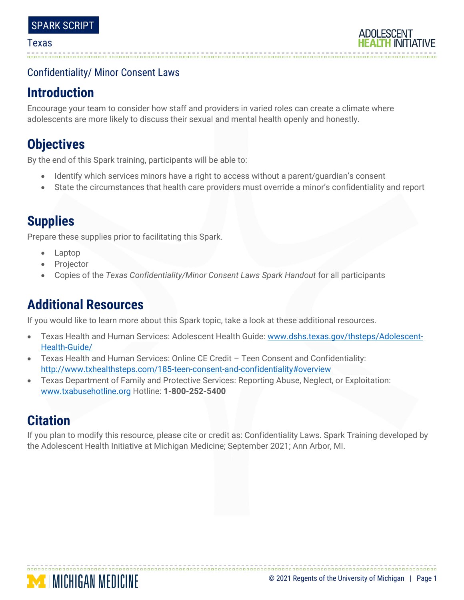## Confidentiality/ Minor Consent Laws

## **Introduction**

Encourage your team to consider how staff and providers in varied roles can create a climate where adolescents are more likely to discuss their sexual and mental health openly and honestly.

# **Objectives**

By the end of this Spark training, participants will be able to:

- Identify which services minors have a right to access without a parent/guardian's consent
- State the circumstances that health care providers must override a minor's confidentiality and report

# **Supplies**

Prepare these supplies prior to facilitating this Spark.

- Laptop
- **Projector**
- Copies of the *Texas Confidentiality/Minor Consent Laws Spark Handout* for all participants

# **Additional Resources**

If you would like to learn more about this Spark topic, take a look at these additional resources.

- Texas Health and Human Services: Adolescent Health Guide: [www.dshs.texas.gov/thsteps/Adolescent-](http://www.dshs.texas.gov/thsteps/Adolescent-Health-Guide/)[Health-Guide/](http://www.dshs.texas.gov/thsteps/Adolescent-Health-Guide/)
- Texas Health and Human Services: Online CE Credit Teen Consent and Confidentiality: <http://www.txhealthsteps.com/185-teen-consent-and-confidentiality#overview>
- Texas Department of Family and Protective Services: Reporting Abuse, Neglect, or Exploitation: www.txabusehotline.org Hotline: **1-800-252-5400**

# **Citation**

If you plan to modify this resource, please cite or credit as: Confidentiality Laws. Spark Training developed by the Adolescent Health Initiative at Michigan Medicine; September 2021; Ann Arbor, MI.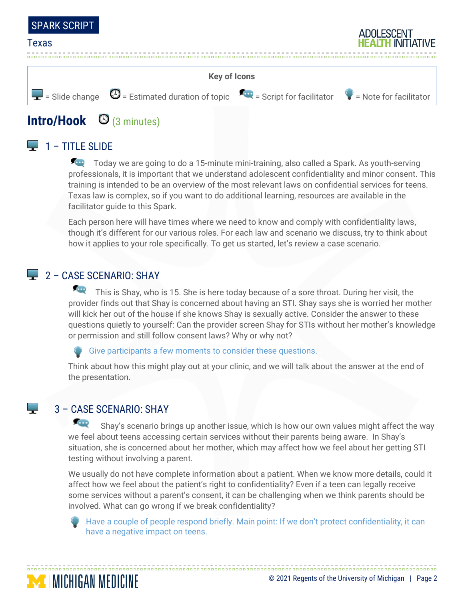





# **Intro/Hook** (3 minutes)

## $\Box$  1 – TITLE SLIDE

Today we are going to do a 15-minute mini-training, also called a Spark. As youth-serving professionals, it is important that we understand adolescent confidentiality and minor consent. This training is intended to be an overview of the most relevant laws on confidential services for teens. Texas law is complex, so if you want to do additional learning, resources are available in the facilitator guide to this Spark.

Each person here will have times where we need to know and comply with confidentiality laws, though it's different for our various roles. For each law and scenario we discuss, try to think about how it applies to your role specifically. To get us started, let's review a case scenario.

## $\Box$  2 – CASE SCENARIO: SHAY

**Q** This is Shay, who is 15. She is here today because of a sore throat. During her visit, the provider finds out that Shay is concerned about having an STI. Shay says she is worried her mother will kick her out of the house if she knows Shay is sexually active. Consider the answer to these questions quietly to yourself: Can the provider screen Shay for STIs without her mother's knowledge or permission and still follow consent laws? Why or why not?

#### Give participants a few moments to consider these questions.

Think about how this might play out at your clinic, and we will talk about the answer at the end of the presentation.

## 3 – CASE SCENARIO: SHAY

**MINICHIGAN MEDICINE** 

**POINT** Shay's scenario brings up another issue, which is how our own values might affect the way we feel about teens accessing certain services without their parents being aware. In Shay's situation, she is concerned about her mother, which may affect how we feel about her getting STI testing without involving a parent.

We usually do not have complete information about a patient. When we know more details, could it affect how we feel about the patient's right to confidentiality? Even if a teen can legally receive some services without a parent's consent, it can be challenging when we think parents should be involved. What can go wrong if we break confidentiality?

Have a couple of people respond briefly. Main point: If we don't protect confidentiality, it can have a negative impact on teens.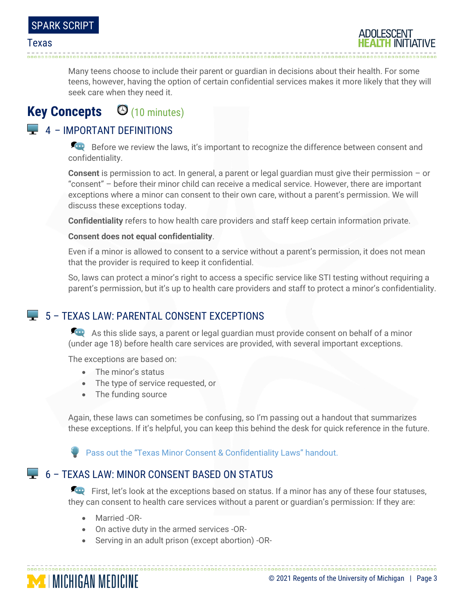Many teens choose to include their parent or guardian in decisions about their health. For some teens, however, having the option of certain confidential services makes it more likely that they will seek care when they need it.

# **Key Concepts** (10 minutes)

## $\Box$  4 – IMPORTANT DEFINITIONS

Before we review the laws, it's important to recognize the difference between consent and confidentiality.

**Consent** is permission to act. In general, a parent or legal guardian must give their permission – or "consent" – before their minor child can receive a medical service. However, there are important exceptions where a minor can consent to their own care, without a parent's permission. We will discuss these exceptions today.

**Confidentiality** refers to how health care providers and staff keep certain information private.

#### **Consent does not equal confidentiality**.

Even if a minor is allowed to consent to a service without a parent's permission, it does not mean that the provider is required to keep it confidential.

So, laws can protect a minor's right to access a specific service like STI testing without requiring a parent's permission, but it's up to health care providers and staff to protect a minor's confidentiality.

## 5 – TEXAS LAW: PARENTAL CONSENT EXCEPTIONS

As this slide says, a parent or legal guardian must provide consent on behalf of a minor (under age 18) before health care services are provided, with several important exceptions.

The exceptions are based on:

- The minor's status
- The type of service requested, or
- The funding source

Again, these laws can sometimes be confusing, so I'm passing out a handout that summarizes these exceptions. If it's helpful, you can keep this behind the desk for quick reference in the future.

Pass out the "Texas Minor Consent & Confidentiality Laws" handout.

## 6 – TEXAS LAW: MINOR CONSENT BASED ON STATUS

First, let's look at the exceptions based on status. If a minor has any of these four statuses, they can consent to health care services without a parent or guardian's permission: If they are:

• Married -OR-

**MINICHIGAN MEDICINE** 

- On active duty in the armed services -OR-
- Serving in an adult prison (except abortion) -OR-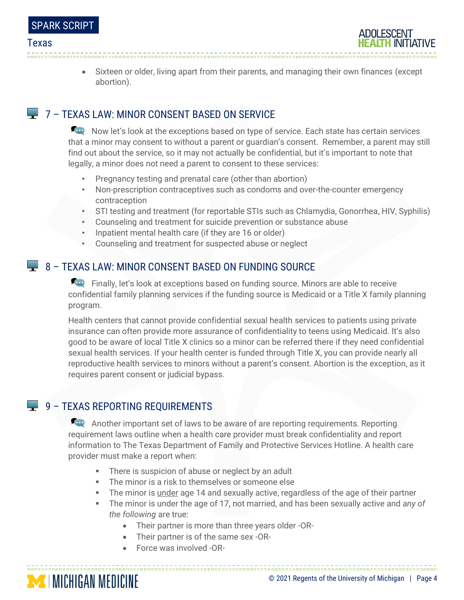|  | <b>SPARK SCRIPT</b> |  |
|--|---------------------|--|
|  |                     |  |

• Sixteen or older, living apart from their parents, and managing their own finances (except abortion).

## **T** 7 – TEXAS LAW: MINOR CONSENT BASED ON SERVICE

Now let's look at the exceptions based on type of service. Each state has certain services that a minor may consent to without a parent or guardian's consent. Remember, a parent may still find out about the service, so it may not actually be confidential, but it's important to note that legally, a minor does not need a parent to consent to these services:

- Pregnancy testing and prenatal care (other than abortion)
- Non-prescription contraceptives such as condoms and over-the-counter emergency contraception
- STI testing and treatment (for reportable STIs such as Chlamydia, Gonorrhea, HIV, Syphilis)
- Counseling and treatment for suicide prevention or substance abuse
- Inpatient mental health care (if they are 16 or older)
- Counseling and treatment for suspected abuse or neglect

## **8 - TEXAS LAW: MINOR CONSENT BASED ON FUNDING SOURCE**

Finally, let's look at exceptions based on funding source. Minors are able to receive confidential family planning services if the funding source is Medicaid or a Title X family planning program.

Health centers that cannot provide confidential sexual health services to patients using private insurance can often provide more assurance of confidentiality to teens using Medicaid. It's also good to be aware of local Title X clinics so a minor can be referred there if they need confidential sexual health services. If your health center is funded through Title X, you can provide nearly all reproductive health services to minors without a parent's consent. Abortion is the exception, as it requires parent consent or judicial bypass.

## $\Box$  9 – TEXAS REPORTING REQUIREMENTS

Another important set of laws to be aware of are reporting requirements. Reporting requirement laws outline when a health care provider must break confidentiality and report information to The Texas Department of Family and Protective Services Hotline. A health care provider must make a report when:

- **EXEDENT** There is suspicion of abuse or neglect by an adult
- The minor is a risk to themselves or someone else
- **The minor is under age 14 and sexually active, regardless of the age of their partner**
- **Example 1** The minor is under the age of 17, not married, and has been sexually active and any of *the following* are true:

- Their partner is more than three years older -OR-
- Their partner is of the same sex -OR-
- Force was involved -OR-

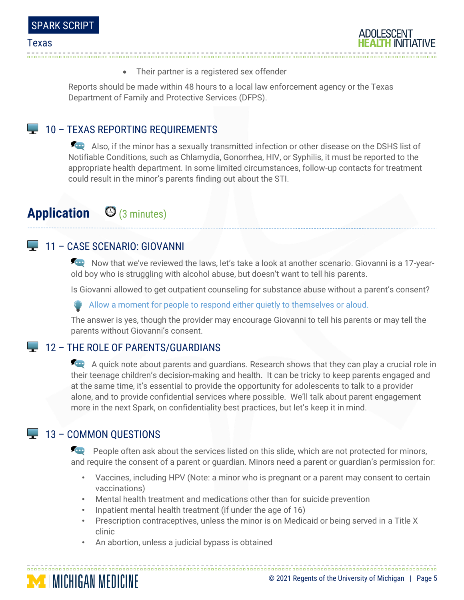

• Their partner is a registered sex offender

Reports should be made within 48 hours to a local law enforcement agency or the Texas Department of Family and Protective Services (DFPS).

### $\Box$  10 – TEXAS REPORTING REQUIREMENTS

Also, if the minor has a sexually transmitted infection or other disease on the DSHS list of Notifiable Conditions, such as Chlamydia, Gonorrhea, HIV, or Syphilis, it must be reported to the appropriate health department. In some limited circumstances, follow-up contacts for treatment could result in the minor's parents finding out about the STI.

# **Application** (3 minutes)

### 11 – CASE SCENARIO: GIOVANNI

Now that we've reviewed the laws, let's take a look at another scenario. Giovanni is a 17-yearold boy who is struggling with alcohol abuse, but doesn't want to tell his parents.

Is Giovanni allowed to get outpatient counseling for substance abuse without a parent's consent?

Allow a moment for people to respond either quietly to themselves or aloud.

The answer is yes, though the provider may encourage Giovanni to tell his parents or may tell the parents without Giovanni's consent.

#### **12 – THE ROLE OF PARENTS/GUARDIANS**

A quick note about parents and guardians. Research shows that they can play a crucial role in their teenage children's decision-making and health. It can be tricky to keep parents engaged and at the same time, it's essential to provide the opportunity for adolescents to talk to a provider alone, and to provide confidential services where possible. We'll talk about parent engagement more in the next Spark, on confidentiality best practices, but let's keep it in mind.

### $\Box$  13 – COMMON OUESTIONS

**People often ask about the services listed on this slide, which are not protected for minors,** and require the consent of a parent or guardian. Minors need a parent or guardian's permission for:

- Vaccines, including HPV (Note: a minor who is pregnant or a parent may consent to certain vaccinations)
- Mental health treatment and medications other than for suicide prevention
- Inpatient mental health treatment (if under the age of 16)
- Prescription contraceptives, unless the minor is on Medicaid or being served in a Title X clinic
- An abortion, unless a judicial bypass is obtained

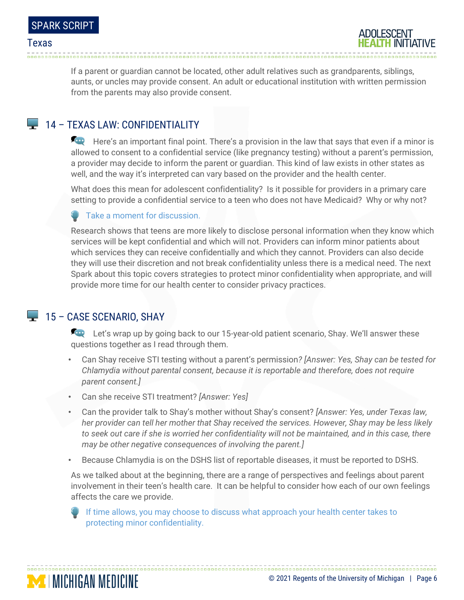If a parent or guardian cannot be located, other adult relatives such as grandparents, siblings, aunts, or uncles may provide consent. An adult or educational institution with written permission from the parents may also provide consent.

### **14 - TEXAS LAW: CONFIDENTIALITY**

Here's an important final point. There's a provision in the law that says that even if a minor is allowed to consent to a confidential service (like pregnancy testing) without a parent's permission, a provider may decide to inform the parent or guardian. This kind of law exists in other states as well, and the way it's interpreted can vary based on the provider and the health center.

What does this mean for adolescent confidentiality? Is it possible for providers in a primary care setting to provide a confidential service to a teen who does not have Medicaid? Why or why not?

Take a moment for discussion.

Research shows that teens are more likely to disclose personal information when they know which services will be kept confidential and which will not. Providers can inform minor patients about which services they can receive confidentially and which they cannot. Providers can also decide they will use their discretion and not break confidentiality unless there is a medical need. The next Spark about this topic covers strategies to protect minor confidentiality when appropriate, and will provide more time for our health center to consider privacy practices.

#### $\blacktriangleright$  15 – CASE SCENARIO, SHAY

**MINICHIGAN MEDICINE** 

Let's wrap up by going back to our 15-year-old patient scenario, Shay. We'll answer these questions together as I read through them.

- Can Shay receive STI testing without a parent's permission*? [Answer: Yes, Shay can be tested for Chlamydia without parental consent, because it is reportable and therefore, does not require parent consent.]*
- Can she receive STI treatment? *[Answer: Yes]*
- Can the provider talk to Shay's mother without Shay's consent? *[Answer: Yes, under Texas law, her provider can tell her mother that Shay received the services. However, Shay may be less likely to seek out care if she is worried her confidentiality will not be maintained, and in this case, there may be other negative consequences of involving the parent.]*
- Because Chlamydia is on the DSHS list of reportable diseases, it must be reported to DSHS.

As we talked about at the beginning, there are a range of perspectives and feelings about parent involvement in their teen's health care. It can be helpful to consider how each of our own feelings affects the care we provide.

If time allows, you may choose to discuss what approach your health center takes to protecting minor confidentiality.